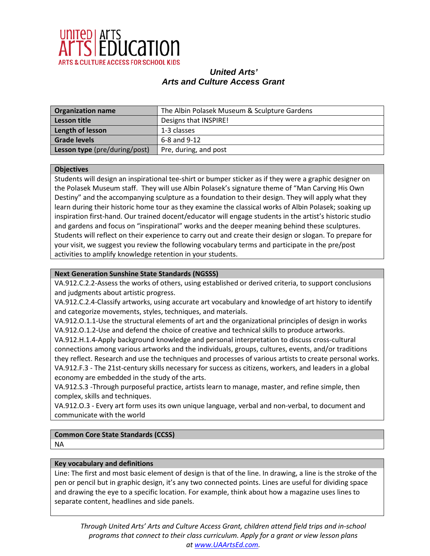

| <b>Organization name</b>      | The Albin Polasek Museum & Sculpture Gardens |
|-------------------------------|----------------------------------------------|
| Lesson title                  | Designs that INSPIRE!                        |
| Length of lesson              | 1-3 classes                                  |
| <b>Grade levels</b>           | $6-8$ and $9-12$                             |
| Lesson type (pre/during/post) | Pre, during, and post                        |

#### **Objectives**

Students will design an inspirational tee-shirt or bumper sticker as if they were a graphic designer on the Polasek Museum staff. They will use Albin Polasek's signature theme of "Man Carving His Own Destiny" and the accompanying sculpture as a foundation to their design. They will apply what they learn during their historic home tour as they examine the classical works of Albin Polasek; soaking up inspiration first-hand. Our trained docent/educator will engage students in the artist's historic studio and gardens and focus on "inspirational" works and the deeper meaning behind these sculptures. Students will reflect on their experience to carry out and create their design or slogan. To prepare for your visit, we suggest you review the following vocabulary terms and participate in the pre/post activities to amplify knowledge retention in your students.

#### **Next Generation Sunshine State Standards (NGSSS)**

VA.912.C.2.2-Assess the works of others, using established or derived criteria, to support conclusions and judgments about artistic progress.

VA.912.C.2.4-Classify artworks, using accurate art vocabulary and knowledge of art history to identify and categorize movements, styles, techniques, and materials.

VA.912.O.1.1-Use the structural elements of art and the organizational principles of design in works VA.912.O.1.2-Use and defend the choice of creative and technical skills to produce artworks. VA.912.H.1.4-Apply background knowledge and personal interpretation to discuss cross-cultural connections among various artworks and the individuals, groups, cultures, events, and/or traditions they reflect. Research and use the techniques and processes of various artists to create personal works. VA.912.F.3 - The 21st-century skills necessary for success as citizens, workers, and leaders in a global economy are embedded in the study of the arts.

VA.912.S.3 -Through purposeful practice, artists learn to manage, master, and refine simple, then complex, skills and techniques.

VA.912.O.3 - Every art form uses its own unique language, verbal and non-verbal, to document and communicate with the world

# **Common Core State Standards (CCSS)**

NA

#### **Key vocabulary and definitions**

Line: The first and most basic element of design is that of the line. In drawing, a line is the stroke of the pen or pencil but in graphic design, it's any two connected points. Lines are useful for dividing space and drawing the eye to a specific location. For example, think about how a magazine uses lines to separate content, headlines and side panels.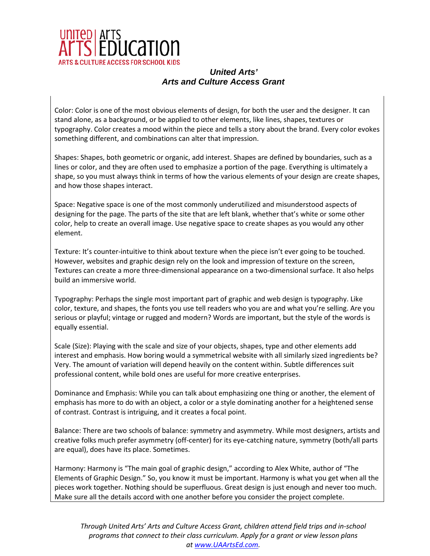

Color: Color is one of the most obvious elements of design, for both the user and the designer. It can stand alone, as a background, or be applied to other elements, like lines, shapes, textures or typography. Color creates a mood within the piece and tells a story about the brand. Every color evokes something different, and combinations can alter that impression.

Shapes: Shapes, both geometric or organic, add interest. Shapes are defined by boundaries, such as a lines or color, and they are often used to emphasize a portion of the page. Everything is ultimately a shape, so you must always think in terms of how the various elements of your design are create shapes, and how those shapes interact.

Space: Negative space is one of the most commonly underutilized and misunderstood aspects of designing for the page. The parts of the site that are left blank, whether that's white or some other color, help to create an overall image. Use negative space to create shapes as you would any other element.

Texture: It's counter-intuitive to think about texture when the piece isn't ever going to be touched. However, websites and graphic design rely on the look and impression of texture on the screen, Textures can create a more three-dimensional appearance on a two-dimensional surface. It also helps build an immersive world.

Typography: Perhaps the single most important part of graphic and web design is typography. Like color, texture, and shapes, the fonts you use tell readers who you are and what you're selling. Are you serious or playful; vintage or rugged and modern? Words are important, but the style of the words is equally essential.

Scale (Size): Playing with the scale and size of your objects, shapes, type and other elements add interest and emphasis. How boring would a symmetrical website with all similarly sized ingredients be? Very. The amount of variation will depend heavily on the content within. Subtle differences suit professional content, while bold ones are useful for more creative enterprises.

Dominance and Emphasis: While you can talk about emphasizing one thing or another, the element of emphasis has more to do with an object, a color or a style dominating another for a heightened sense of contrast. Contrast is intriguing, and it creates a focal point.

Balance: There are two schools of balance: symmetry and asymmetry. While most designers, artists and creative folks much prefer asymmetry (off-center) for its eye-catching nature, symmetry (both/all parts are equal), does have its place. Sometimes.

Harmony: Harmony is "The main goal of graphic design," according to Alex White, author of "The Elements of Graphic Design." So, you know it must be important. Harmony is what you get when all the pieces work together. Nothing should be superfluous. Great design is just enough and never too much. Make sure all the details accord with one another before you consider the project complete.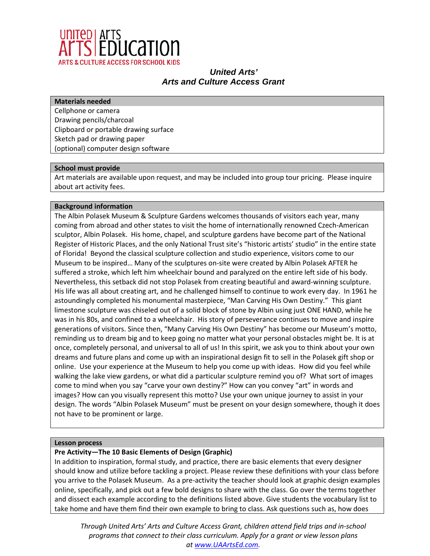

#### **Materials needed**

Cellphone or camera Drawing pencils/charcoal Clipboard or portable drawing surface Sketch pad or drawing paper (optional) computer design software

#### **School must provide**

Art materials are available upon request, and may be included into group tour pricing. Please inquire about art activity fees.

#### **Background information**

The Albin Polasek Museum & Sculpture Gardens welcomes thousands of visitors each year, many coming from abroad and other states to visit the home of internationally renowned Czech-American sculptor, Albin Polasek. His home, chapel, and sculpture gardens have become part of the National Register of Historic Places, and the only National Trust site's "historic artists' studio" in the entire state of Florida! Beyond the classical sculpture collection and studio experience, visitors come to our Museum to be inspired… Many of the sculptures on-site were created by Albin Polasek AFTER he suffered a stroke, which left him wheelchair bound and paralyzed on the entire left side of his body. Nevertheless, this setback did not stop Polasek from creating beautiful and award-winning sculpture. His life was all about creating art, and he challenged himself to continue to work every day. In 1961 he astoundingly completed his monumental masterpiece, "Man Carving His Own Destiny." This giant limestone sculpture was chiseled out of a solid block of stone by Albin using just ONE HAND, while he was in his 80s, and confined to a wheelchair. His story of perseverance continues to move and inspire generations of visitors. Since then, "Many Carving His Own Destiny" has become our Museum's motto, reminding us to dream big and to keep going no matter what your personal obstacles might be. It is at once, completely personal, and universal to all of us! In this spirit, we ask you to think about your own dreams and future plans and come up with an inspirational design fit to sell in the Polasek gift shop or online. Use your experience at the Museum to help you come up with ideas. How did you feel while walking the lake view gardens, or what did a particular sculpture remind you of? What sort of images come to mind when you say "carve your own destiny?" How can you convey "art" in words and images? How can you visually represent this motto? Use your own unique journey to assist in your design. The words "Albin Polasek Museum" must be present on your design somewhere, though it does not have to be prominent or large.

#### **Lesson process**

### **Pre Activity—The 10 Basic Elements of Design (Graphic)**

In addition to inspiration, formal study, and practice, there are basic elements that every designer should know and utilize before tackling a project. Please review these definitions with your class before you arrive to the Polasek Museum. As a pre-activity the teacher should look at graphic design examples online, specifically, and pick out a few bold designs to share with the class. Go over the terms together and dissect each example according to the definitions listed above. Give students the vocabulary list to take home and have them find their own example to bring to class. Ask questions such as, how does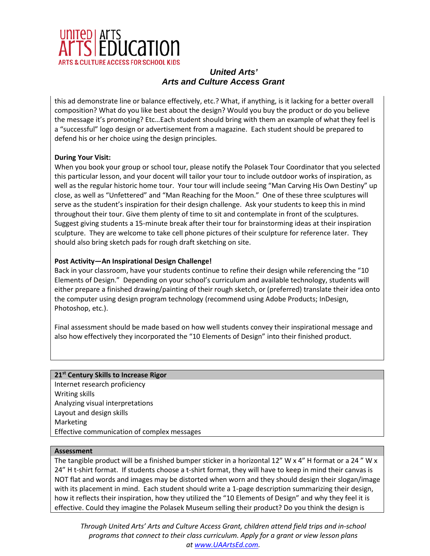

this ad demonstrate line or balance effectively, etc.? What, if anything, is it lacking for a better overall composition? What do you like best about the design? Would you buy the product or do you believe the message it's promoting? Etc…Each student should bring with them an example of what they feel is a "successful" logo design or advertisement from a magazine. Each student should be prepared to defend his or her choice using the design principles.

#### **During Your Visit:**

When you book your group or school tour, please notify the Polasek Tour Coordinator that you selected this particular lesson, and your docent will tailor your tour to include outdoor works of inspiration, as well as the regular historic home tour. Your tour will include seeing "Man Carving His Own Destiny" up close, as well as "Unfettered" and "Man Reaching for the Moon." One of these three sculptures will serve as the student's inspiration for their design challenge. Ask your students to keep this in mind throughout their tour. Give them plenty of time to sit and contemplate in front of the sculptures. Suggest giving students a 15-minute break after their tour for brainstorming ideas at their inspiration sculpture. They are welcome to take cell phone pictures of their sculpture for reference later. They should also bring sketch pads for rough draft sketching on site.

#### **Post Activity—An Inspirational Design Challenge!**

Back in your classroom, have your students continue to refine their design while referencing the "10 Elements of Design." Depending on your school's curriculum and available technology, students will either prepare a finished drawing/painting of their rough sketch, or (preferred) translate their idea onto the computer using design program technology (recommend using Adobe Products; InDesign, Photoshop, etc.).

Final assessment should be made based on how well students convey their inspirational message and also how effectively they incorporated the "10 Elements of Design" into their finished product.

### **21st Century Skills to Increase Rigor**

Internet research proficiency Writing skills Analyzing visual interpretations Layout and design skills Marketing Effective communication of complex messages

#### **Assessment**

The tangible product will be a finished bumper sticker in a horizontal 12" W x 4" H format or a 24" W x 24" H t-shirt format. If students choose a t-shirt format, they will have to keep in mind their canvas is NOT flat and words and images may be distorted when worn and they should design their slogan/image with its placement in mind. Each student should write a 1-page description summarizing their design, how it reflects their inspiration, how they utilized the "10 Elements of Design" and why they feel it is effective. Could they imagine the Polasek Museum selling their product? Do you think the design is